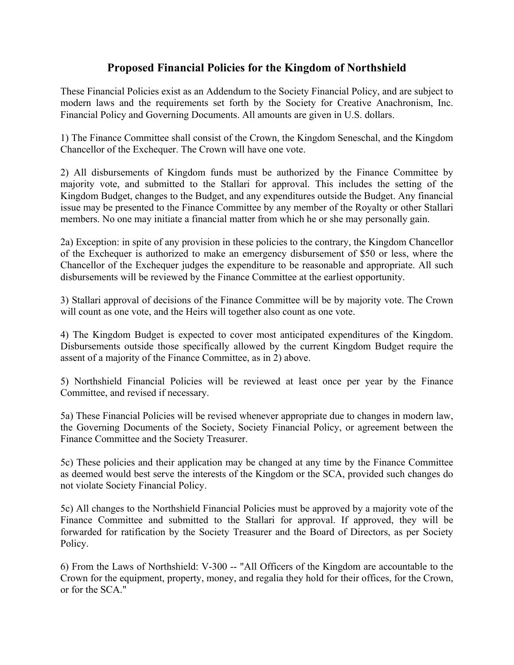# **Proposed Financial Policies for the Kingdom of Northshield**

These Financial Policies exist as an Addendum to the Society Financial Policy, and are subject to modern laws and the requirements set forth by the Society for Creative Anachronism, Inc. Financial Policy and Governing Documents. All amounts are given in U.S. dollars.

1) The Finance Committee shall consist of the Crown, the Kingdom Seneschal, and the Kingdom Chancellor of the Exchequer. The Crown will have one vote.

2) All disbursements of Kingdom funds must be authorized by the Finance Committee by majority vote, and submitted to the Stallari for approval. This includes the setting of the Kingdom Budget, changes to the Budget, and any expenditures outside the Budget. Any financial issue may be presented to the Finance Committee by any member of the Royalty or other Stallari members. No one may initiate a financial matter from which he or she may personally gain.

2a) Exception: in spite of any provision in these policies to the contrary, the Kingdom Chancellor of the Exchequer is authorized to make an emergency disbursement of \$50 or less, where the Chancellor of the Exchequer judges the expenditure to be reasonable and appropriate. All such disbursements will be reviewed by the Finance Committee at the earliest opportunity.

3) Stallari approval of decisions of the Finance Committee will be by majority vote. The Crown will count as one vote, and the Heirs will together also count as one vote.

4) The Kingdom Budget is expected to cover most anticipated expenditures of the Kingdom. Disbursements outside those specifically allowed by the current Kingdom Budget require the assent of a majority of the Finance Committee, as in 2) above.

5) Northshield Financial Policies will be reviewed at least once per year by the Finance Committee, and revised if necessary.

5a) These Financial Policies will be revised whenever appropriate due to changes in modern law, the Governing Documents of the Society, Society Financial Policy, or agreement between the Finance Committee and the Society Treasurer.

5c) These policies and their application may be changed at any time by the Finance Committee as deemed would best serve the interests of the Kingdom or the SCA, provided such changes do not violate Society Financial Policy.

5c) All changes to the Northshield Financial Policies must be approved by a majority vote of the Finance Committee and submitted to the Stallari for approval. If approved, they will be forwarded for ratification by the Society Treasurer and the Board of Directors, as per Society Policy.

6) From the Laws of Northshield: V-300 -- "All Officers of the Kingdom are accountable to the Crown for the equipment, property, money, and regalia they hold for their offices, for the Crown, or for the SCA."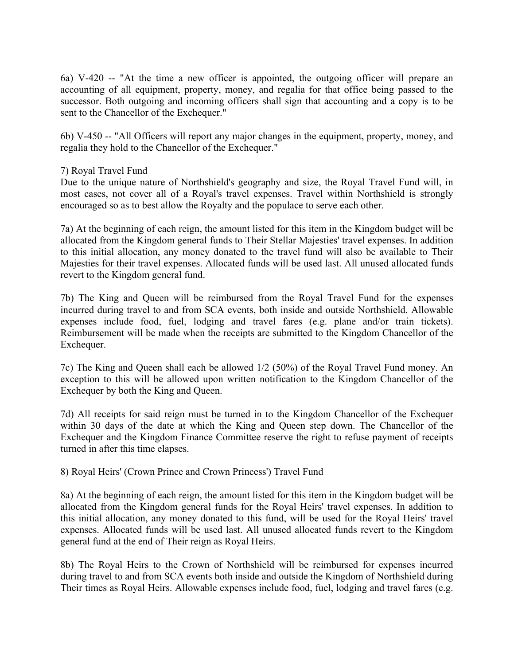6a) V-420 -- "At the time a new officer is appointed, the outgoing officer will prepare an accounting of all equipment, property, money, and regalia for that office being passed to the successor. Both outgoing and incoming officers shall sign that accounting and a copy is to be sent to the Chancellor of the Exchequer."

6b) V-450 -- "All Officers will report any major changes in the equipment, property, money, and regalia they hold to the Chancellor of the Exchequer."

# 7) Royal Travel Fund

Due to the unique nature of Northshield's geography and size, the Royal Travel Fund will, in most cases, not cover all of a Royal's travel expenses. Travel within Northshield is strongly encouraged so as to best allow the Royalty and the populace to serve each other.

7a) At the beginning of each reign, the amount listed for this item in the Kingdom budget will be allocated from the Kingdom general funds to Their Stellar Majesties' travel expenses. In addition to this initial allocation, any money donated to the travel fund will also be available to Their Majesties for their travel expenses. Allocated funds will be used last. All unused allocated funds revert to the Kingdom general fund.

7b) The King and Queen will be reimbursed from the Royal Travel Fund for the expenses incurred during travel to and from SCA events, both inside and outside Northshield. Allowable expenses include food, fuel, lodging and travel fares (e.g. plane and/or train tickets). Reimbursement will be made when the receipts are submitted to the Kingdom Chancellor of the Exchequer.

7c) The King and Queen shall each be allowed 1/2 (50%) of the Royal Travel Fund money. An exception to this will be allowed upon written notification to the Kingdom Chancellor of the Exchequer by both the King and Queen.

7d) All receipts for said reign must be turned in to the Kingdom Chancellor of the Exchequer within 30 days of the date at which the King and Queen step down. The Chancellor of the Exchequer and the Kingdom Finance Committee reserve the right to refuse payment of receipts turned in after this time elapses.

8) Royal Heirs' (Crown Prince and Crown Princess') Travel Fund

8a) At the beginning of each reign, the amount listed for this item in the Kingdom budget will be allocated from the Kingdom general funds for the Royal Heirs' travel expenses. In addition to this initial allocation, any money donated to this fund, will be used for the Royal Heirs' travel expenses. Allocated funds will be used last. All unused allocated funds revert to the Kingdom general fund at the end of Their reign as Royal Heirs.

8b) The Royal Heirs to the Crown of Northshield will be reimbursed for expenses incurred during travel to and from SCA events both inside and outside the Kingdom of Northshield during Their times as Royal Heirs. Allowable expenses include food, fuel, lodging and travel fares (e.g.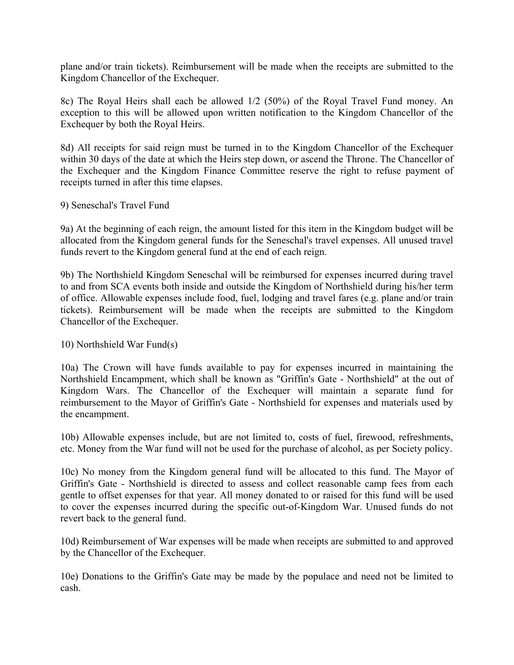plane and/or train tickets). Reimbursement will be made when the receipts are submitted to the Kingdom Chancellor of the Exchequer.

8c) The Royal Heirs shall each be allowed 1/2 (50%) of the Royal Travel Fund money. An exception to this will be allowed upon written notification to the Kingdom Chancellor of the Exchequer by both the Royal Heirs.

8d) All receipts for said reign must be turned in to the Kingdom Chancellor of the Exchequer within 30 days of the date at which the Heirs step down, or ascend the Throne. The Chancellor of the Exchequer and the Kingdom Finance Committee reserve the right to refuse payment of receipts turned in after this time elapses.

### 9) Seneschal's Travel Fund

9a) At the beginning of each reign, the amount listed for this item in the Kingdom budget will be allocated from the Kingdom general funds for the Seneschal's travel expenses. All unused travel funds revert to the Kingdom general fund at the end of each reign.

9b) The Northshield Kingdom Seneschal will be reimbursed for expenses incurred during travel to and from SCA events both inside and outside the Kingdom of Northshield during his/her term of office. Allowable expenses include food, fuel, lodging and travel fares (e.g. plane and/or train tickets). Reimbursement will be made when the receipts are submitted to the Kingdom Chancellor of the Exchequer.

### 10) Northshield War Fund(s)

10a) The Crown will have funds available to pay for expenses incurred in maintaining the Northshield Encampment, which shall be known as "Griffin's Gate - Northshield" at the out of Kingdom Wars. The Chancellor of the Exchequer will maintain a separate fund for reimbursement to the Mayor of Griffin's Gate - Northshield for expenses and materials used by the encampment.

10b) Allowable expenses include, but are not limited to, costs of fuel, firewood, refreshments, etc. Money from the War fund will not be used for the purchase of alcohol, as per Society policy.

10c) No money from the Kingdom general fund will be allocated to this fund. The Mayor of Griffin's Gate - Northshield is directed to assess and collect reasonable camp fees from each gentle to offset expenses for that year. All money donated to or raised for this fund will be used to cover the expenses incurred during the specific out-of-Kingdom War. Unused funds do not revert back to the general fund.

10d) Reimbursement of War expenses will be made when receipts are submitted to and approved by the Chancellor of the Exchequer.

10e) Donations to the Griffin's Gate may be made by the populace and need not be limited to cash.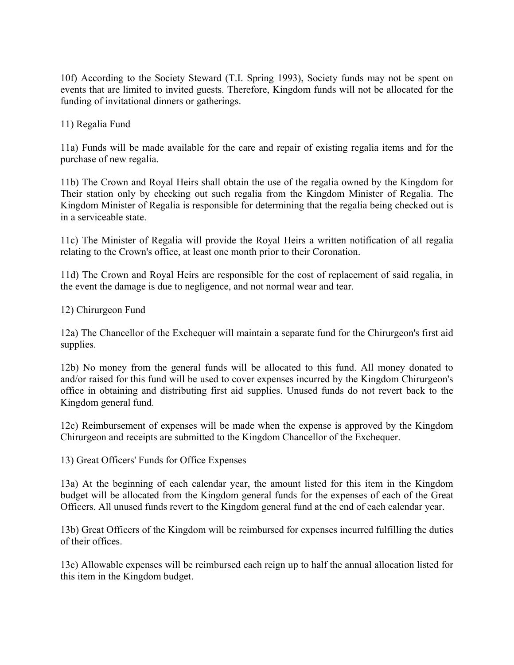10f) According to the Society Steward (T.I. Spring 1993), Society funds may not be spent on events that are limited to invited guests. Therefore, Kingdom funds will not be allocated for the funding of invitational dinners or gatherings.

11) Regalia Fund

11a) Funds will be made available for the care and repair of existing regalia items and for the purchase of new regalia.

11b) The Crown and Royal Heirs shall obtain the use of the regalia owned by the Kingdom for Their station only by checking out such regalia from the Kingdom Minister of Regalia. The Kingdom Minister of Regalia is responsible for determining that the regalia being checked out is in a serviceable state.

11c) The Minister of Regalia will provide the Royal Heirs a written notification of all regalia relating to the Crown's office, at least one month prior to their Coronation.

11d) The Crown and Royal Heirs are responsible for the cost of replacement of said regalia, in the event the damage is due to negligence, and not normal wear and tear.

12) Chirurgeon Fund

12a) The Chancellor of the Exchequer will maintain a separate fund for the Chirurgeon's first aid supplies.

12b) No money from the general funds will be allocated to this fund. All money donated to and/or raised for this fund will be used to cover expenses incurred by the Kingdom Chirurgeon's office in obtaining and distributing first aid supplies. Unused funds do not revert back to the Kingdom general fund.

12c) Reimbursement of expenses will be made when the expense is approved by the Kingdom Chirurgeon and receipts are submitted to the Kingdom Chancellor of the Exchequer.

13) Great Officers' Funds for Office Expenses

13a) At the beginning of each calendar year, the amount listed for this item in the Kingdom budget will be allocated from the Kingdom general funds for the expenses of each of the Great Officers. All unused funds revert to the Kingdom general fund at the end of each calendar year.

13b) Great Officers of the Kingdom will be reimbursed for expenses incurred fulfilling the duties of their offices.

13c) Allowable expenses will be reimbursed each reign up to half the annual allocation listed for this item in the Kingdom budget.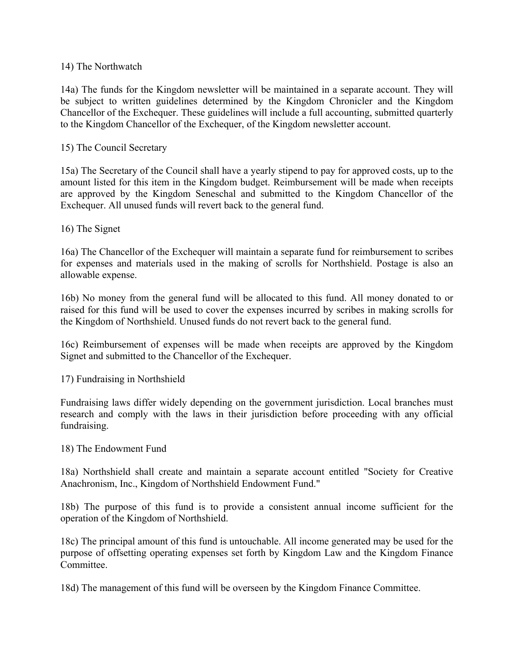## 14) The Northwatch

14a) The funds for the Kingdom newsletter will be maintained in a separate account. They will be subject to written guidelines determined by the Kingdom Chronicler and the Kingdom Chancellor of the Exchequer. These guidelines will include a full accounting, submitted quarterly to the Kingdom Chancellor of the Exchequer, of the Kingdom newsletter account.

# 15) The Council Secretary

15a) The Secretary of the Council shall have a yearly stipend to pay for approved costs, up to the amount listed for this item in the Kingdom budget. Reimbursement will be made when receipts are approved by the Kingdom Seneschal and submitted to the Kingdom Chancellor of the Exchequer. All unused funds will revert back to the general fund.

# 16) The Signet

16a) The Chancellor of the Exchequer will maintain a separate fund for reimbursement to scribes for expenses and materials used in the making of scrolls for Northshield. Postage is also an allowable expense.

16b) No money from the general fund will be allocated to this fund. All money donated to or raised for this fund will be used to cover the expenses incurred by scribes in making scrolls for the Kingdom of Northshield. Unused funds do not revert back to the general fund.

16c) Reimbursement of expenses will be made when receipts are approved by the Kingdom Signet and submitted to the Chancellor of the Exchequer.

17) Fundraising in Northshield

Fundraising laws differ widely depending on the government jurisdiction. Local branches must research and comply with the laws in their jurisdiction before proceeding with any official fundraising.

### 18) The Endowment Fund

18a) Northshield shall create and maintain a separate account entitled "Society for Creative Anachronism, Inc., Kingdom of Northshield Endowment Fund."

18b) The purpose of this fund is to provide a consistent annual income sufficient for the operation of the Kingdom of Northshield.

18c) The principal amount of this fund is untouchable. All income generated may be used for the purpose of offsetting operating expenses set forth by Kingdom Law and the Kingdom Finance Committee.

18d) The management of this fund will be overseen by the Kingdom Finance Committee.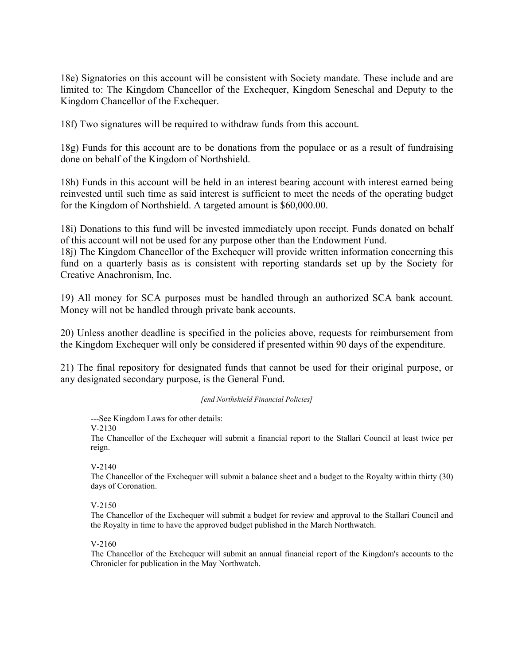18e) Signatories on this account will be consistent with Society mandate. These include and are limited to: The Kingdom Chancellor of the Exchequer, Kingdom Seneschal and Deputy to the Kingdom Chancellor of the Exchequer.

18f) Two signatures will be required to withdraw funds from this account.

18g) Funds for this account are to be donations from the populace or as a result of fundraising done on behalf of the Kingdom of Northshield.

18h) Funds in this account will be held in an interest bearing account with interest earned being reinvested until such time as said interest is sufficient to meet the needs of the operating budget for the Kingdom of Northshield. A targeted amount is \$60,000.00.

18i) Donations to this fund will be invested immediately upon receipt. Funds donated on behalf of this account will not be used for any purpose other than the Endowment Fund.

18j) The Kingdom Chancellor of the Exchequer will provide written information concerning this fund on a quarterly basis as is consistent with reporting standards set up by the Society for Creative Anachronism, Inc.

19) All money for SCA purposes must be handled through an authorized SCA bank account. Money will not be handled through private bank accounts.

20) Unless another deadline is specified in the policies above, requests for reimbursement from the Kingdom Exchequer will only be considered if presented within 90 days of the expenditure.

21) The final repository for designated funds that cannot be used for their original purpose, or any designated secondary purpose, is the General Fund.

#### *[end Northshield Financial Policies]*

---See Kingdom Laws for other details:

V-2130

The Chancellor of the Exchequer will submit a financial report to the Stallari Council at least twice per reign.

#### V-2140

The Chancellor of the Exchequer will submit a balance sheet and a budget to the Royalty within thirty (30) days of Coronation.

#### V-2150

The Chancellor of the Exchequer will submit a budget for review and approval to the Stallari Council and the Royalty in time to have the approved budget published in the March Northwatch.

#### V-2160

The Chancellor of the Exchequer will submit an annual financial report of the Kingdom's accounts to the Chronicler for publication in the May Northwatch.